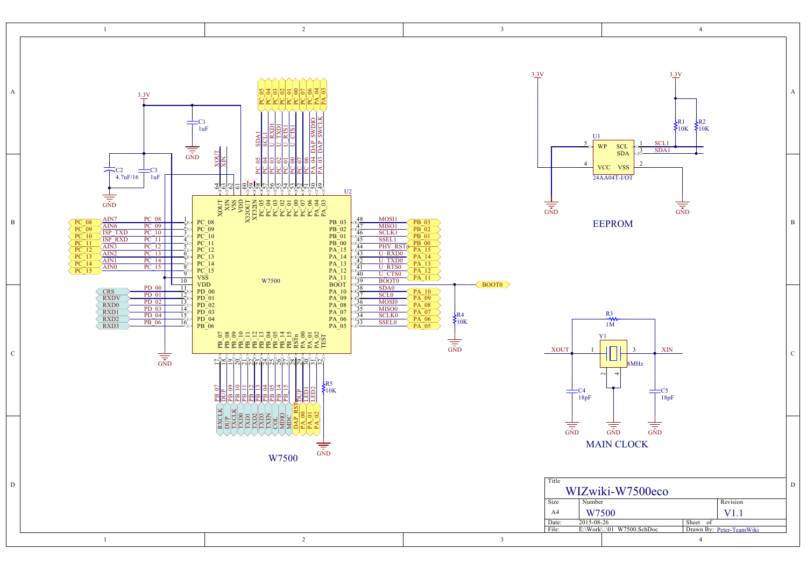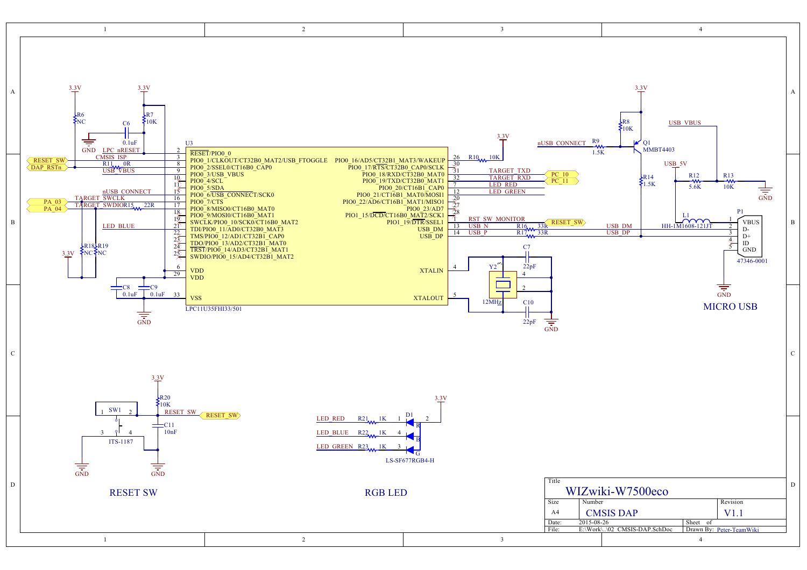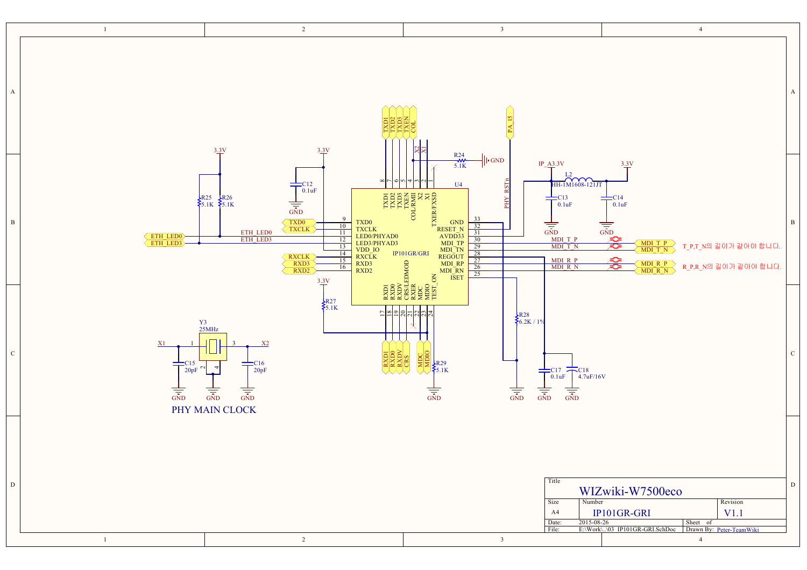